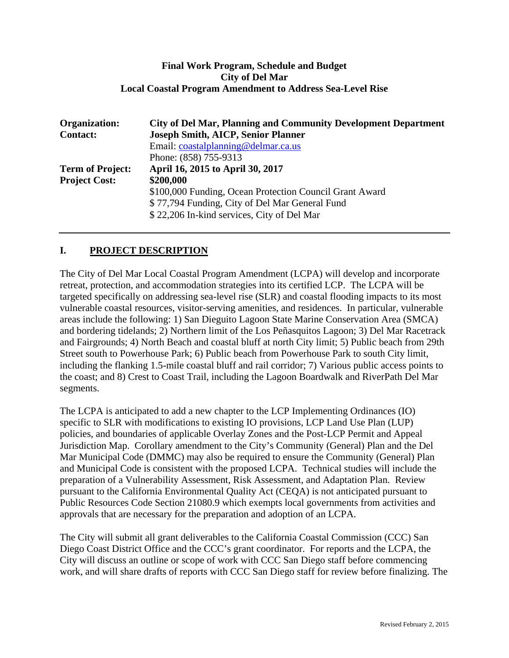#### **Final Work Program, Schedule and Budget City of Del Mar Local Coastal Program Amendment to Address Sea-Level Rise**

| <b>Organization:</b>    | <b>City of Del Mar, Planning and Community Development Department</b> |  |  |  |
|-------------------------|-----------------------------------------------------------------------|--|--|--|
| <b>Contact:</b>         | <b>Joseph Smith, AICP, Senior Planner</b>                             |  |  |  |
|                         | Email: coastalplanning@delmar.ca.us                                   |  |  |  |
|                         | Phone: (858) 755-9313                                                 |  |  |  |
| <b>Term of Project:</b> | April 16, 2015 to April 30, 2017                                      |  |  |  |
| <b>Project Cost:</b>    | \$200,000                                                             |  |  |  |
|                         | \$100,000 Funding, Ocean Protection Council Grant Award               |  |  |  |
|                         | \$77,794 Funding, City of Del Mar General Fund                        |  |  |  |
|                         | \$22,206 In-kind services, City of Del Mar                            |  |  |  |
|                         |                                                                       |  |  |  |

# **I. PROJECT DESCRIPTION**

The City of Del Mar Local Coastal Program Amendment (LCPA) will develop and incorporate retreat, protection, and accommodation strategies into its certified LCP. The LCPA will be targeted specifically on addressing sea-level rise (SLR) and coastal flooding impacts to its most vulnerable coastal resources, visitor-serving amenities, and residences. In particular, vulnerable areas include the following: 1) San Dieguito Lagoon State Marine Conservation Area (SMCA) and bordering tidelands; 2) Northern limit of the Los Peñasquitos Lagoon; 3) Del Mar Racetrack and Fairgrounds; 4) North Beach and coastal bluff at north City limit; 5) Public beach from 29th Street south to Powerhouse Park; 6) Public beach from Powerhouse Park to south City limit, including the flanking 1.5-mile coastal bluff and rail corridor; 7) Various public access points to the coast; and 8) Crest to Coast Trail, including the Lagoon Boardwalk and RiverPath Del Mar segments.

The LCPA is anticipated to add a new chapter to the LCP Implementing Ordinances (IO) specific to SLR with modifications to existing IO provisions, LCP Land Use Plan (LUP) policies, and boundaries of applicable Overlay Zones and the Post-LCP Permit and Appeal Jurisdiction Map. Corollary amendment to the City's Community (General) Plan and the Del Mar Municipal Code (DMMC) may also be required to ensure the Community (General) Plan and Municipal Code is consistent with the proposed LCPA. Technical studies will include the preparation of a Vulnerability Assessment, Risk Assessment, and Adaptation Plan. Review pursuant to the California Environmental Quality Act (CEQA) is not anticipated pursuant to Public Resources Code Section 21080.9 which exempts local governments from activities and approvals that are necessary for the preparation and adoption of an LCPA.

The City will submit all grant deliverables to the California Coastal Commission (CCC) San Diego Coast District Office and the CCC's grant coordinator. For reports and the LCPA, the City will discuss an outline or scope of work with CCC San Diego staff before commencing work, and will share drafts of reports with CCC San Diego staff for review before finalizing. The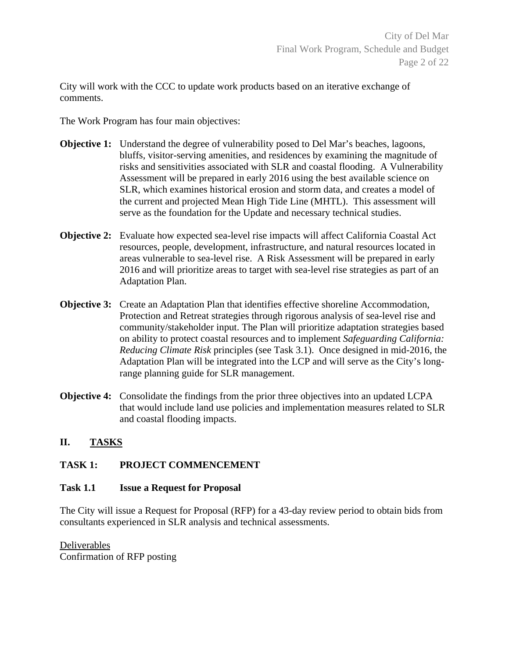City will work with the CCC to update work products based on an iterative exchange of comments.

The Work Program has four main objectives:

- **Objective 1:** Understand the degree of vulnerability posed to Del Mar's beaches, lagoons, bluffs, visitor-serving amenities, and residences by examining the magnitude of risks and sensitivities associated with SLR and coastal flooding. A Vulnerability Assessment will be prepared in early 2016 using the best available science on SLR, which examines historical erosion and storm data, and creates a model of the current and projected Mean High Tide Line (MHTL). This assessment will serve as the foundation for the Update and necessary technical studies.
- **Objective 2:** Evaluate how expected sea-level rise impacts will affect California Coastal Act resources, people, development, infrastructure, and natural resources located in areas vulnerable to sea-level rise. A Risk Assessment will be prepared in early 2016 and will prioritize areas to target with sea-level rise strategies as part of an Adaptation Plan.
- **Objective 3:** Create an Adaptation Plan that identifies effective shoreline Accommodation, Protection and Retreat strategies through rigorous analysis of sea-level rise and community/stakeholder input. The Plan will prioritize adaptation strategies based on ability to protect coastal resources and to implement *Safeguarding California: Reducing Climate Risk* principles (see Task 3.1). Once designed in mid-2016, the Adaptation Plan will be integrated into the LCP and will serve as the City's longrange planning guide for SLR management.
- **Objective 4:** Consolidate the findings from the prior three objectives into an updated LCPA that would include land use policies and implementation measures related to SLR and coastal flooding impacts.

#### **II. TASKS**

#### **TASK 1: PROJECT COMMENCEMENT**

#### **Task 1.1 Issue a Request for Proposal**

The City will issue a Request for Proposal (RFP) for a 43-day review period to obtain bids from consultants experienced in SLR analysis and technical assessments.

Deliverables Confirmation of RFP posting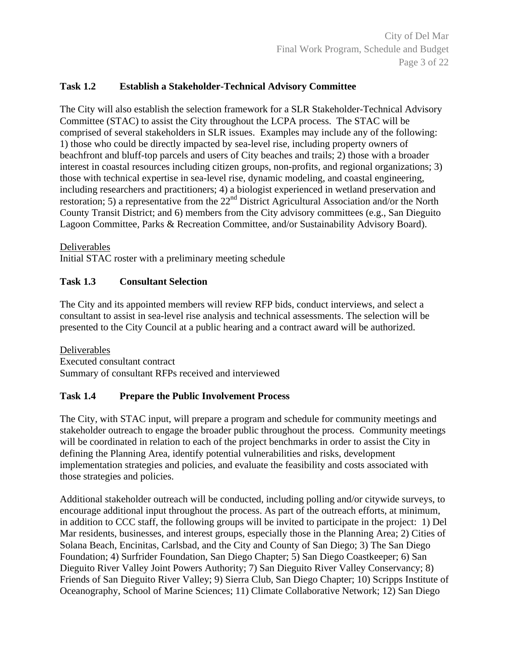#### **Task 1.2 Establish a Stakeholder-Technical Advisory Committee**

The City will also establish the selection framework for a SLR Stakeholder-Technical Advisory Committee (STAC) to assist the City throughout the LCPA process. The STAC will be comprised of several stakeholders in SLR issues. Examples may include any of the following: 1) those who could be directly impacted by sea-level rise, including property owners of beachfront and bluff-top parcels and users of City beaches and trails; 2) those with a broader interest in coastal resources including citizen groups, non-profits, and regional organizations; 3) those with technical expertise in sea-level rise, dynamic modeling, and coastal engineering, including researchers and practitioners; 4) a biologist experienced in wetland preservation and restoration; 5) a representative from the  $22<sup>nd</sup>$  District Agricultural Association and/or the North County Transit District; and 6) members from the City advisory committees (e.g., San Dieguito Lagoon Committee, Parks & Recreation Committee, and/or Sustainability Advisory Board).

Deliverables

Initial STAC roster with a preliminary meeting schedule

### **Task 1.3 Consultant Selection**

The City and its appointed members will review RFP bids, conduct interviews, and select a consultant to assist in sea-level rise analysis and technical assessments. The selection will be presented to the City Council at a public hearing and a contract award will be authorized.

Deliverables Executed consultant contract Summary of consultant RFPs received and interviewed

#### **Task 1.4 Prepare the Public Involvement Process**

The City, with STAC input, will prepare a program and schedule for community meetings and stakeholder outreach to engage the broader public throughout the process. Community meetings will be coordinated in relation to each of the project benchmarks in order to assist the City in defining the Planning Area, identify potential vulnerabilities and risks, development implementation strategies and policies, and evaluate the feasibility and costs associated with those strategies and policies.

Additional stakeholder outreach will be conducted, including polling and/or citywide surveys, to encourage additional input throughout the process. As part of the outreach efforts, at minimum, in addition to CCC staff, the following groups will be invited to participate in the project: 1) Del Mar residents, businesses, and interest groups, especially those in the Planning Area; 2) Cities of Solana Beach, Encinitas, Carlsbad, and the City and County of San Diego; 3) The San Diego Foundation; 4) Surfrider Foundation, San Diego Chapter; 5) San Diego Coastkeeper; 6) San Dieguito River Valley Joint Powers Authority; 7) San Dieguito River Valley Conservancy; 8) Friends of San Dieguito River Valley; 9) Sierra Club, San Diego Chapter; 10) Scripps Institute of Oceanography, School of Marine Sciences; 11) Climate Collaborative Network; 12) San Diego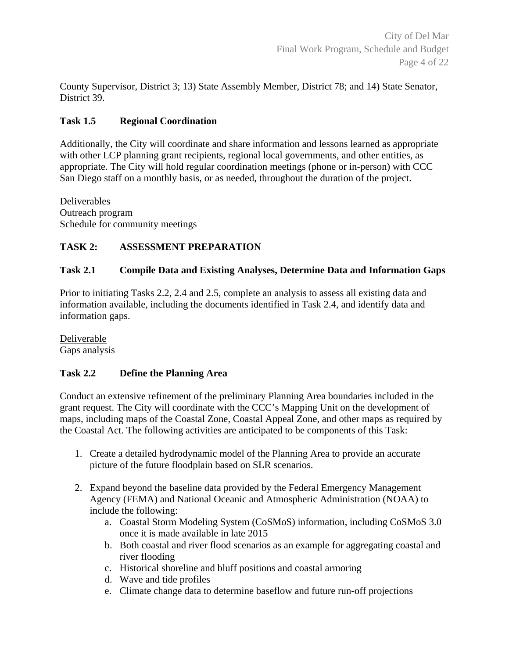County Supervisor, District 3; 13) State Assembly Member, District 78; and 14) State Senator, District 39.

### **Task 1.5 Regional Coordination**

Additionally, the City will coordinate and share information and lessons learned as appropriate with other LCP planning grant recipients, regional local governments, and other entities, as appropriate. The City will hold regular coordination meetings (phone or in-person) with CCC San Diego staff on a monthly basis, or as needed, throughout the duration of the project.

**Deliverables** Outreach program Schedule for community meetings

# **TASK 2: ASSESSMENT PREPARATION**

# **Task 2.1 Compile Data and Existing Analyses, Determine Data and Information Gaps**

Prior to initiating Tasks 2.2, 2.4 and 2.5, complete an analysis to assess all existing data and information available, including the documents identified in Task 2.4, and identify data and information gaps.

Deliverable Gaps analysis

# **Task 2.2 Define the Planning Area**

Conduct an extensive refinement of the preliminary Planning Area boundaries included in the grant request. The City will coordinate with the CCC's Mapping Unit on the development of maps, including maps of the Coastal Zone, Coastal Appeal Zone, and other maps as required by the Coastal Act. The following activities are anticipated to be components of this Task:

- 1. Create a detailed hydrodynamic model of the Planning Area to provide an accurate picture of the future floodplain based on SLR scenarios.
- 2. Expand beyond the baseline data provided by the Federal Emergency Management Agency (FEMA) and National Oceanic and Atmospheric Administration (NOAA) to include the following:
	- a. Coastal Storm Modeling System (CoSMoS) information, including CoSMoS 3.0 once it is made available in late 2015
	- b. Both coastal and river flood scenarios as an example for aggregating coastal and river flooding
	- c. Historical shoreline and bluff positions and coastal armoring
	- d. Wave and tide profiles
	- e. Climate change data to determine baseflow and future run-off projections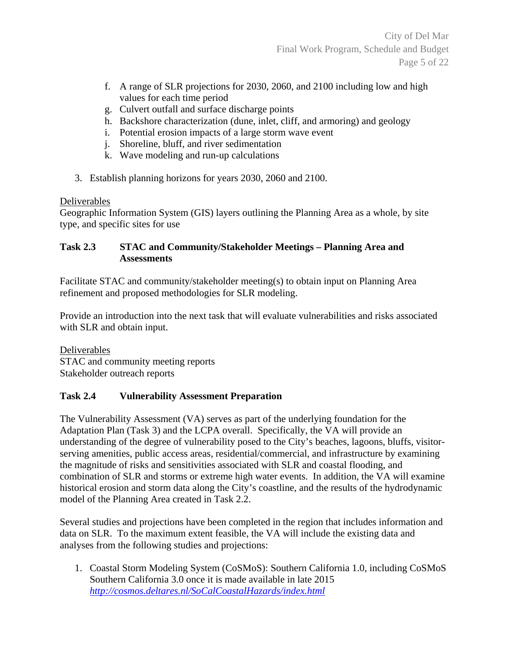- f. A range of SLR projections for 2030, 2060, and 2100 including low and high values for each time period
- g. Culvert outfall and surface discharge points
- h. Backshore characterization (dune, inlet, cliff, and armoring) and geology
- i. Potential erosion impacts of a large storm wave event
- j. Shoreline, bluff, and river sedimentation
- k. Wave modeling and run-up calculations
- 3. Establish planning horizons for years 2030, 2060 and 2100.

# Deliverables

Geographic Information System (GIS) layers outlining the Planning Area as a whole, by site type, and specific sites for use

### **Task 2.3 STAC and Community/Stakeholder Meetings – Planning Area and Assessments**

Facilitate STAC and community/stakeholder meeting(s) to obtain input on Planning Area refinement and proposed methodologies for SLR modeling.

Provide an introduction into the next task that will evaluate vulnerabilities and risks associated with SLR and obtain input.

Deliverables STAC and community meeting reports Stakeholder outreach reports

# **Task 2.4 Vulnerability Assessment Preparation**

The Vulnerability Assessment (VA) serves as part of the underlying foundation for the Adaptation Plan (Task 3) and the LCPA overall. Specifically, the VA will provide an understanding of the degree of vulnerability posed to the City's beaches, lagoons, bluffs, visitorserving amenities, public access areas, residential/commercial, and infrastructure by examining the magnitude of risks and sensitivities associated with SLR and coastal flooding, and combination of SLR and storms or extreme high water events. In addition, the VA will examine historical erosion and storm data along the City's coastline, and the results of the hydrodynamic model of the Planning Area created in Task 2.2.

Several studies and projections have been completed in the region that includes information and data on SLR. To the maximum extent feasible, the VA will include the existing data and analyses from the following studies and projections:

1. Coastal Storm Modeling System (CoSMoS): Southern California 1.0, including CoSMoS Southern California 3.0 once it is made available in late 2015 *http://cosmos.deltares.nl/SoCalCoastalHazards/index.html*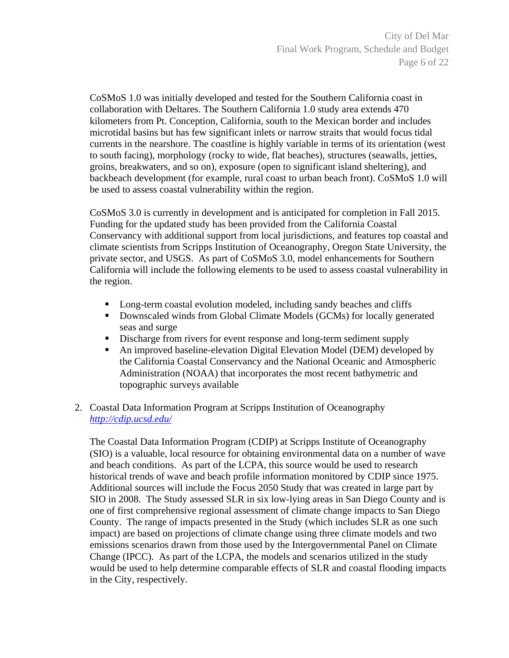CoSMoS 1.0 was initially developed and tested for the Southern California coast in collaboration with Deltares. The Southern California 1.0 study area extends 470 kilometers from Pt. Conception, California, south to the Mexican border and includes microtidal basins but has few significant inlets or narrow straits that would focus tidal currents in the nearshore. The coastline is highly variable in terms of its orientation (west to south facing), morphology (rocky to wide, flat beaches), structures (seawalls, jetties, groins, breakwaters, and so on), exposure (open to significant island sheltering), and backbeach development (for example, rural coast to urban beach front). CoSMoS 1.0 will be used to assess coastal vulnerability within the region.

CoSMoS 3.0 is currently in development and is anticipated for completion in Fall 2015. Funding for the updated study has been provided from the California Coastal Conservancy with additional support from local jurisdictions, and features top coastal and climate scientists from Scripps Institution of Oceanography, Oregon State University, the private sector, and USGS. As part of CoSMoS 3.0, model enhancements for Southern California will include the following elements to be used to assess coastal vulnerability in the region.

- Long-term coastal evolution modeled, including sandy beaches and cliffs
- Downscaled winds from Global Climate Models (GCMs) for locally generated seas and surge
- Discharge from rivers for event response and long-term sediment supply
- An improved baseline-elevation Digital Elevation Model (DEM) developed by the California Coastal Conservancy and the National Oceanic and Atmospheric Administration (NOAA) that incorporates the most recent bathymetric and topographic surveys available
- 2. Coastal Data Information Program at Scripps Institution of Oceanography *http://cdip.ucsd.edu/*

The Coastal Data Information Program (CDIP) at Scripps Institute of Oceanography (SIO) is a valuable, local resource for obtaining environmental data on a number of wave and beach conditions. As part of the LCPA, this source would be used to research historical trends of wave and beach profile information monitored by CDIP since 1975. Additional sources will include the Focus 2050 Study that was created in large part by SIO in 2008. The Study assessed SLR in six low-lying areas in San Diego County and is one of first comprehensive regional assessment of climate change impacts to San Diego County. The range of impacts presented in the Study (which includes SLR as one such impact) are based on projections of climate change using three climate models and two emissions scenarios drawn from those used by the Intergovernmental Panel on Climate Change (IPCC). As part of the LCPA, the models and scenarios utilized in the study would be used to help determine comparable effects of SLR and coastal flooding impacts in the City, respectively.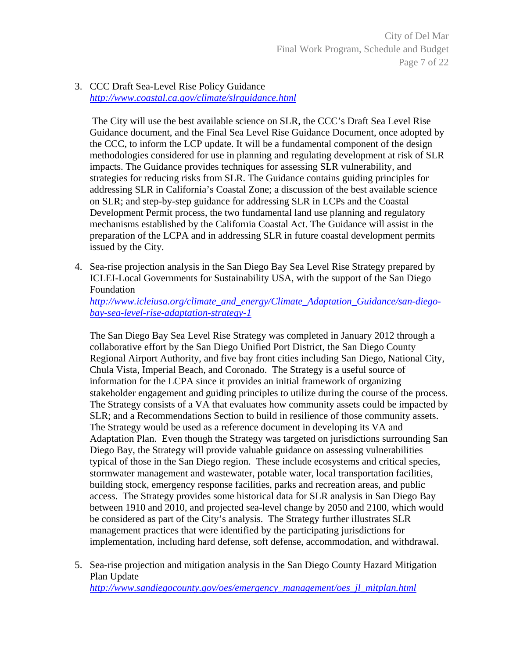City of Del Mar Final Work Program, Schedule and Budget Page 7 of 22

3. CCC Draft Sea-Level Rise Policy Guidance *http://www.coastal.ca.gov/climate/slrguidance.html* 

 The City will use the best available science on SLR, the CCC's Draft Sea Level Rise Guidance document, and the Final Sea Level Rise Guidance Document, once adopted by the CCC, to inform the LCP update. It will be a fundamental component of the design methodologies considered for use in planning and regulating development at risk of SLR impacts. The Guidance provides techniques for assessing SLR vulnerability, and strategies for reducing risks from SLR. The Guidance contains guiding principles for addressing SLR in California's Coastal Zone; a discussion of the best available science on SLR; and step-by-step guidance for addressing SLR in LCPs and the Coastal Development Permit process, the two fundamental land use planning and regulatory mechanisms established by the California Coastal Act. The Guidance will assist in the preparation of the LCPA and in addressing SLR in future coastal development permits issued by the City.

4. Sea-rise projection analysis in the San Diego Bay Sea Level Rise Strategy prepared by ICLEI-Local Governments for Sustainability USA, with the support of the San Diego Foundation

*http://www.icleiusa.org/climate\_and\_energy/Climate\_Adaptation\_Guidance/san-diegobay-sea-level-rise-adaptation-strategy-1* 

The San Diego Bay Sea Level Rise Strategy was completed in January 2012 through a collaborative effort by the San Diego Unified Port District, the San Diego County Regional Airport Authority, and five bay front cities including San Diego, National City, Chula Vista, Imperial Beach, and Coronado. The Strategy is a useful source of information for the LCPA since it provides an initial framework of organizing stakeholder engagement and guiding principles to utilize during the course of the process. The Strategy consists of a VA that evaluates how community assets could be impacted by SLR; and a Recommendations Section to build in resilience of those community assets. The Strategy would be used as a reference document in developing its VA and Adaptation Plan. Even though the Strategy was targeted on jurisdictions surrounding San Diego Bay, the Strategy will provide valuable guidance on assessing vulnerabilities typical of those in the San Diego region. These include ecosystems and critical species, stormwater management and wastewater, potable water, local transportation facilities, building stock, emergency response facilities, parks and recreation areas, and public access. The Strategy provides some historical data for SLR analysis in San Diego Bay between 1910 and 2010, and projected sea-level change by 2050 and 2100, which would be considered as part of the City's analysis. The Strategy further illustrates SLR management practices that were identified by the participating jurisdictions for implementation, including hard defense, soft defense, accommodation, and withdrawal.

5. Sea-rise projection and mitigation analysis in the San Diego County Hazard Mitigation Plan Update *http://www.sandiegocounty.gov/oes/emergency\_management/oes\_jl\_mitplan.html*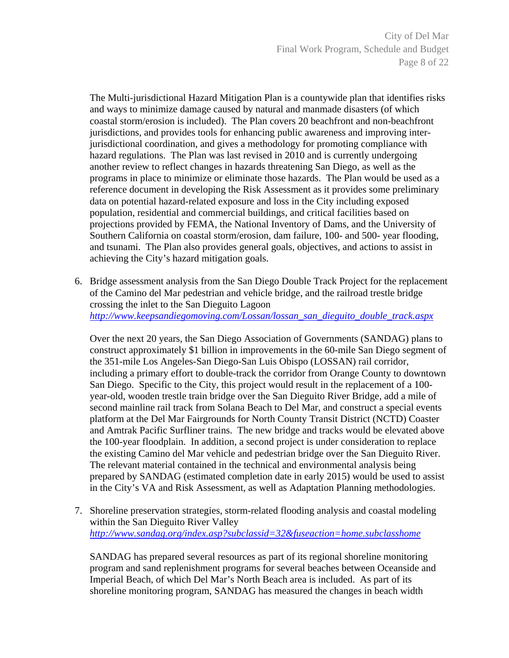City of Del Mar Final Work Program, Schedule and Budget Page 8 of 22

The Multi-jurisdictional Hazard Mitigation Plan is a countywide plan that identifies risks and ways to minimize damage caused by natural and manmade disasters (of which coastal storm/erosion is included). The Plan covers 20 beachfront and non-beachfront jurisdictions, and provides tools for enhancing public awareness and improving interjurisdictional coordination, and gives a methodology for promoting compliance with hazard regulations. The Plan was last revised in 2010 and is currently undergoing another review to reflect changes in hazards threatening San Diego, as well as the programs in place to minimize or eliminate those hazards. The Plan would be used as a reference document in developing the Risk Assessment as it provides some preliminary data on potential hazard-related exposure and loss in the City including exposed population, residential and commercial buildings, and critical facilities based on projections provided by FEMA, the National Inventory of Dams, and the University of Southern California on coastal storm/erosion, dam failure, 100- and 500- year flooding, and tsunami. The Plan also provides general goals, objectives, and actions to assist in achieving the City's hazard mitigation goals.

6. Bridge assessment analysis from the San Diego Double Track Project for the replacement of the Camino del Mar pedestrian and vehicle bridge, and the railroad trestle bridge crossing the inlet to the San Dieguito Lagoon *http://www.keepsandiegomoving.com/Lossan/lossan\_san\_dieguito\_double\_track.aspx* 

Over the next 20 years, the San Diego Association of Governments (SANDAG) plans to construct approximately \$1 billion in improvements in the 60-mile San Diego segment of the 351-mile Los Angeles-San Diego-San Luis Obispo (LOSSAN) rail corridor, including a primary effort to double-track the corridor from Orange County to downtown San Diego. Specific to the City, this project would result in the replacement of a 100 year-old, wooden trestle train bridge over the San Dieguito River Bridge, add a mile of second mainline rail track from Solana Beach to Del Mar, and construct a special events platform at the Del Mar Fairgrounds for North County Transit District (NCTD) Coaster and Amtrak Pacific Surfliner trains. The new bridge and tracks would be elevated above the 100-year floodplain. In addition, a second project is under consideration to replace the existing Camino del Mar vehicle and pedestrian bridge over the San Dieguito River. The relevant material contained in the technical and environmental analysis being prepared by SANDAG (estimated completion date in early 2015) would be used to assist in the City's VA and Risk Assessment, as well as Adaptation Planning methodologies.

7. Shoreline preservation strategies, storm-related flooding analysis and coastal modeling within the San Dieguito River Valley *http://www.sandag.org/index.asp?subclassid=32&fuseaction=home.subclasshome* 

SANDAG has prepared several resources as part of its regional shoreline monitoring program and sand replenishment programs for several beaches between Oceanside and Imperial Beach, of which Del Mar's North Beach area is included. As part of its shoreline monitoring program, SANDAG has measured the changes in beach width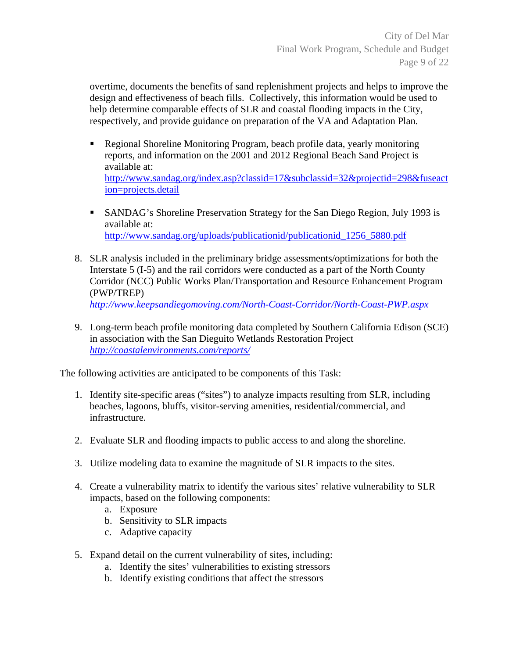overtime, documents the benefits of sand replenishment projects and helps to improve the design and effectiveness of beach fills. Collectively, this information would be used to help determine comparable effects of SLR and coastal flooding impacts in the City, respectively, and provide guidance on preparation of the VA and Adaptation Plan.

- Regional Shoreline Monitoring Program, beach profile data, yearly monitoring reports, and information on the 2001 and 2012 Regional Beach Sand Project is available at: http://www.sandag.org/index.asp?classid=17&subclassid=32&projectid=298&fuseact ion=projects.detail
- SANDAG's Shoreline Preservation Strategy for the San Diego Region, July 1993 is available at: http://www.sandag.org/uploads/publicationid/publicationid\_1256\_5880.pdf
- 8. SLR analysis included in the preliminary bridge assessments/optimizations for both the Interstate 5 (I-5) and the rail corridors were conducted as a part of the North County Corridor (NCC) Public Works Plan/Transportation and Resource Enhancement Program (PWP/TREP) *http://www.keepsandiegomoving.com/North-Coast-Corridor/North-Coast-PWP.aspx*
- 9. Long-term beach profile monitoring data completed by Southern California Edison (SCE) in association with the San Dieguito Wetlands Restoration Project

*http://coastalenvironments.com/reports/* 

The following activities are anticipated to be components of this Task:

- 1. Identify site-specific areas ("sites") to analyze impacts resulting from SLR, including beaches, lagoons, bluffs, visitor-serving amenities, residential/commercial, and infrastructure.
- 2. Evaluate SLR and flooding impacts to public access to and along the shoreline.
- 3. Utilize modeling data to examine the magnitude of SLR impacts to the sites.
- 4. Create a vulnerability matrix to identify the various sites' relative vulnerability to SLR impacts, based on the following components:
	- a. Exposure
	- b. Sensitivity to SLR impacts
	- c. Adaptive capacity
- 5. Expand detail on the current vulnerability of sites, including:
	- a. Identify the sites' vulnerabilities to existing stressors
	- b. Identify existing conditions that affect the stressors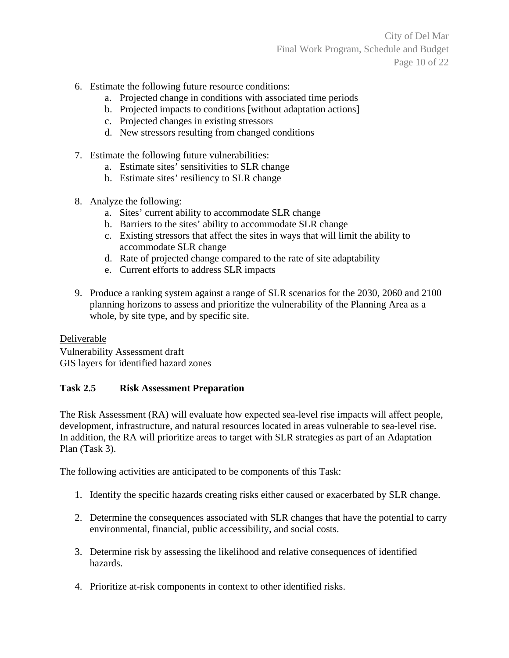City of Del Mar Final Work Program, Schedule and Budget Page 10 of 22

- 6. Estimate the following future resource conditions:
	- a. Projected change in conditions with associated time periods
	- b. Projected impacts to conditions [without adaptation actions]
	- c. Projected changes in existing stressors
	- d. New stressors resulting from changed conditions
- 7. Estimate the following future vulnerabilities:
	- a. Estimate sites' sensitivities to SLR change
	- b. Estimate sites' resiliency to SLR change
- 8. Analyze the following:
	- a. Sites' current ability to accommodate SLR change
	- b. Barriers to the sites' ability to accommodate SLR change
	- c. Existing stressors that affect the sites in ways that will limit the ability to accommodate SLR change
	- d. Rate of projected change compared to the rate of site adaptability
	- e. Current efforts to address SLR impacts
- 9. Produce a ranking system against a range of SLR scenarios for the 2030, 2060 and 2100 planning horizons to assess and prioritize the vulnerability of the Planning Area as a whole, by site type, and by specific site.

Deliverable Vulnerability Assessment draft GIS layers for identified hazard zones

#### **Task 2.5 Risk Assessment Preparation**

The Risk Assessment (RA) will evaluate how expected sea-level rise impacts will affect people, development, infrastructure, and natural resources located in areas vulnerable to sea-level rise. In addition, the RA will prioritize areas to target with SLR strategies as part of an Adaptation Plan (Task 3).

The following activities are anticipated to be components of this Task:

- 1. Identify the specific hazards creating risks either caused or exacerbated by SLR change.
- 2. Determine the consequences associated with SLR changes that have the potential to carry environmental, financial, public accessibility, and social costs.
- 3. Determine risk by assessing the likelihood and relative consequences of identified hazards.
- 4. Prioritize at-risk components in context to other identified risks.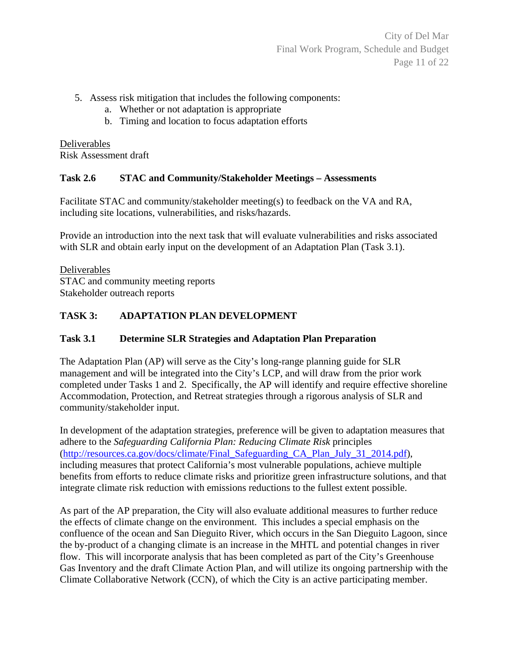City of Del Mar Final Work Program, Schedule and Budget Page 11 of 22

- 5. Assess risk mitigation that includes the following components:
	- a. Whether or not adaptation is appropriate
	- b. Timing and location to focus adaptation efforts

Deliverables Risk Assessment draft

### **Task 2.6 STAC and Community/Stakeholder Meetings – Assessments**

Facilitate STAC and community/stakeholder meeting(s) to feedback on the VA and RA, including site locations, vulnerabilities, and risks/hazards.

Provide an introduction into the next task that will evaluate vulnerabilities and risks associated with SLR and obtain early input on the development of an Adaptation Plan (Task 3.1).

Deliverables STAC and community meeting reports Stakeholder outreach reports

# **TASK 3: ADAPTATION PLAN DEVELOPMENT**

# **Task 3.1 Determine SLR Strategies and Adaptation Plan Preparation**

The Adaptation Plan (AP) will serve as the City's long-range planning guide for SLR management and will be integrated into the City's LCP, and will draw from the prior work completed under Tasks 1 and 2. Specifically, the AP will identify and require effective shoreline Accommodation, Protection, and Retreat strategies through a rigorous analysis of SLR and community/stakeholder input.

In development of the adaptation strategies, preference will be given to adaptation measures that adhere to the *Safeguarding California Plan: Reducing Climate Risk* principles (http://resources.ca.gov/docs/climate/Final\_Safeguarding\_CA\_Plan\_July\_31\_2014.pdf), including measures that protect California's most vulnerable populations, achieve multiple benefits from efforts to reduce climate risks and prioritize green infrastructure solutions, and that integrate climate risk reduction with emissions reductions to the fullest extent possible.

As part of the AP preparation, the City will also evaluate additional measures to further reduce the effects of climate change on the environment. This includes a special emphasis on the confluence of the ocean and San Dieguito River, which occurs in the San Dieguito Lagoon, since the by-product of a changing climate is an increase in the MHTL and potential changes in river flow. This will incorporate analysis that has been completed as part of the City's Greenhouse Gas Inventory and the draft Climate Action Plan, and will utilize its ongoing partnership with the Climate Collaborative Network (CCN), of which the City is an active participating member.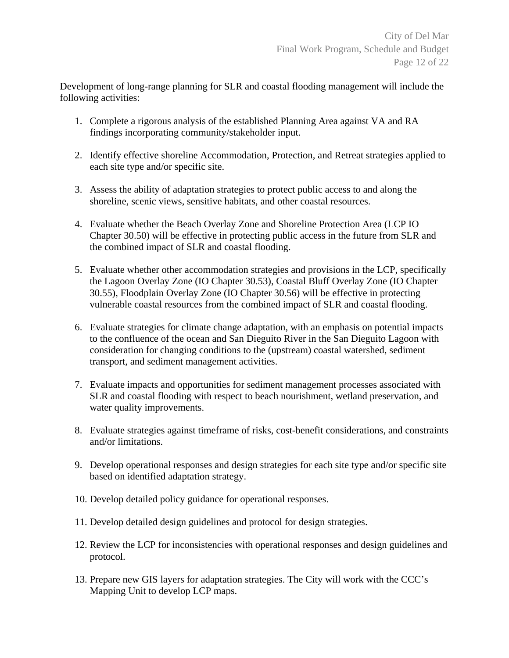Development of long-range planning for SLR and coastal flooding management will include the following activities:

- 1. Complete a rigorous analysis of the established Planning Area against VA and RA findings incorporating community/stakeholder input.
- 2. Identify effective shoreline Accommodation, Protection, and Retreat strategies applied to each site type and/or specific site.
- 3. Assess the ability of adaptation strategies to protect public access to and along the shoreline, scenic views, sensitive habitats, and other coastal resources.
- 4. Evaluate whether the Beach Overlay Zone and Shoreline Protection Area (LCP IO Chapter 30.50) will be effective in protecting public access in the future from SLR and the combined impact of SLR and coastal flooding.
- 5. Evaluate whether other accommodation strategies and provisions in the LCP, specifically the Lagoon Overlay Zone (IO Chapter 30.53), Coastal Bluff Overlay Zone (IO Chapter 30.55), Floodplain Overlay Zone (IO Chapter 30.56) will be effective in protecting vulnerable coastal resources from the combined impact of SLR and coastal flooding.
- 6. Evaluate strategies for climate change adaptation, with an emphasis on potential impacts to the confluence of the ocean and San Dieguito River in the San Dieguito Lagoon with consideration for changing conditions to the (upstream) coastal watershed, sediment transport, and sediment management activities.
- 7. Evaluate impacts and opportunities for sediment management processes associated with SLR and coastal flooding with respect to beach nourishment, wetland preservation, and water quality improvements.
- 8. Evaluate strategies against timeframe of risks, cost-benefit considerations, and constraints and/or limitations.
- 9. Develop operational responses and design strategies for each site type and/or specific site based on identified adaptation strategy.
- 10. Develop detailed policy guidance for operational responses.
- 11. Develop detailed design guidelines and protocol for design strategies.
- 12. Review the LCP for inconsistencies with operational responses and design guidelines and protocol.
- 13. Prepare new GIS layers for adaptation strategies. The City will work with the CCC's Mapping Unit to develop LCP maps.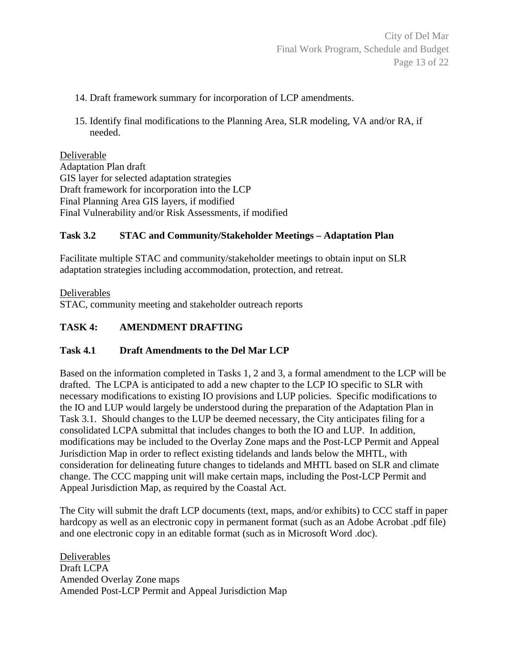- 14. Draft framework summary for incorporation of LCP amendments.
- 15. Identify final modifications to the Planning Area, SLR modeling, VA and/or RA, if needed.

#### Deliverable

Adaptation Plan draft GIS layer for selected adaptation strategies Draft framework for incorporation into the LCP Final Planning Area GIS layers, if modified Final Vulnerability and/or Risk Assessments, if modified

### **Task 3.2 STAC and Community/Stakeholder Meetings – Adaptation Plan**

Facilitate multiple STAC and community/stakeholder meetings to obtain input on SLR adaptation strategies including accommodation, protection, and retreat.

Deliverables STAC, community meeting and stakeholder outreach reports

### **TASK 4: AMENDMENT DRAFTING**

#### **Task 4.1 Draft Amendments to the Del Mar LCP**

Based on the information completed in Tasks 1, 2 and 3, a formal amendment to the LCP will be drafted. The LCPA is anticipated to add a new chapter to the LCP IO specific to SLR with necessary modifications to existing IO provisions and LUP policies. Specific modifications to the IO and LUP would largely be understood during the preparation of the Adaptation Plan in Task 3.1. Should changes to the LUP be deemed necessary, the City anticipates filing for a consolidated LCPA submittal that includes changes to both the IO and LUP. In addition, modifications may be included to the Overlay Zone maps and the Post-LCP Permit and Appeal Jurisdiction Map in order to reflect existing tidelands and lands below the MHTL, with consideration for delineating future changes to tidelands and MHTL based on SLR and climate change. The CCC mapping unit will make certain maps, including the Post-LCP Permit and Appeal Jurisdiction Map, as required by the Coastal Act.

The City will submit the draft LCP documents (text, maps, and/or exhibits) to CCC staff in paper hardcopy as well as an electronic copy in permanent format (such as an Adobe Acrobat .pdf file) and one electronic copy in an editable format (such as in Microsoft Word .doc).

Deliverables Draft LCPA Amended Overlay Zone maps Amended Post-LCP Permit and Appeal Jurisdiction Map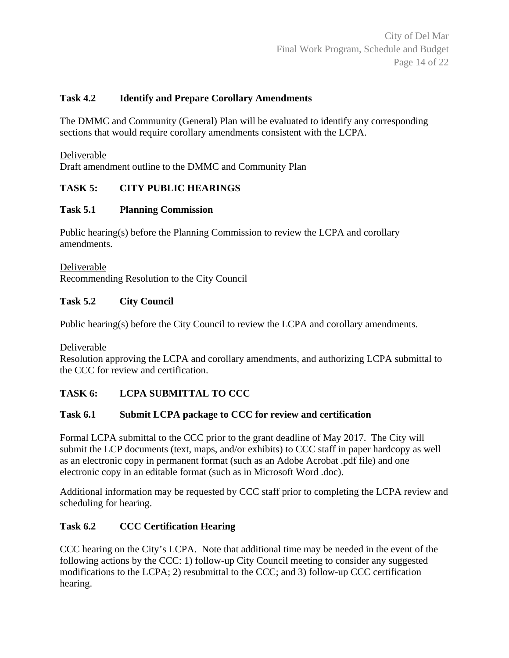### **Task 4.2 Identify and Prepare Corollary Amendments**

The DMMC and Community (General) Plan will be evaluated to identify any corresponding sections that would require corollary amendments consistent with the LCPA.

Deliverable

Draft amendment outline to the DMMC and Community Plan

### **TASK 5: CITY PUBLIC HEARINGS**

#### **Task 5.1 Planning Commission**

Public hearing(s) before the Planning Commission to review the LCPA and corollary amendments.

Deliverable Recommending Resolution to the City Council

### **Task 5.2 City Council**

Public hearing(s) before the City Council to review the LCPA and corollary amendments.

Deliverable

Resolution approving the LCPA and corollary amendments, and authorizing LCPA submittal to the CCC for review and certification.

# **TASK 6: LCPA SUBMITTAL TO CCC**

#### **Task 6.1 Submit LCPA package to CCC for review and certification**

Formal LCPA submittal to the CCC prior to the grant deadline of May 2017. The City will submit the LCP documents (text, maps, and/or exhibits) to CCC staff in paper hardcopy as well as an electronic copy in permanent format (such as an Adobe Acrobat .pdf file) and one electronic copy in an editable format (such as in Microsoft Word .doc).

Additional information may be requested by CCC staff prior to completing the LCPA review and scheduling for hearing.

# **Task 6.2 CCC Certification Hearing**

CCC hearing on the City's LCPA. Note that additional time may be needed in the event of the following actions by the CCC: 1) follow-up City Council meeting to consider any suggested modifications to the LCPA; 2) resubmittal to the CCC; and 3) follow-up CCC certification hearing.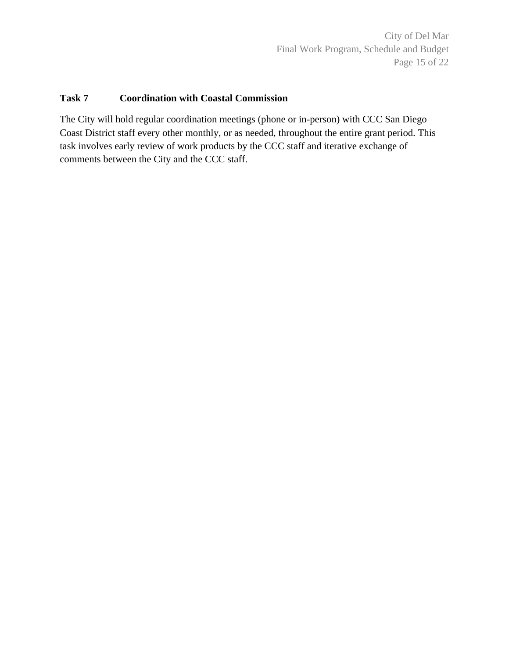City of Del Mar Final Work Program, Schedule and Budget Page 15 of 22

#### **Task 7 Coordination with Coastal Commission**

The City will hold regular coordination meetings (phone or in-person) with CCC San Diego Coast District staff every other monthly, or as needed, throughout the entire grant period. This task involves early review of work products by the CCC staff and iterative exchange of comments between the City and the CCC staff.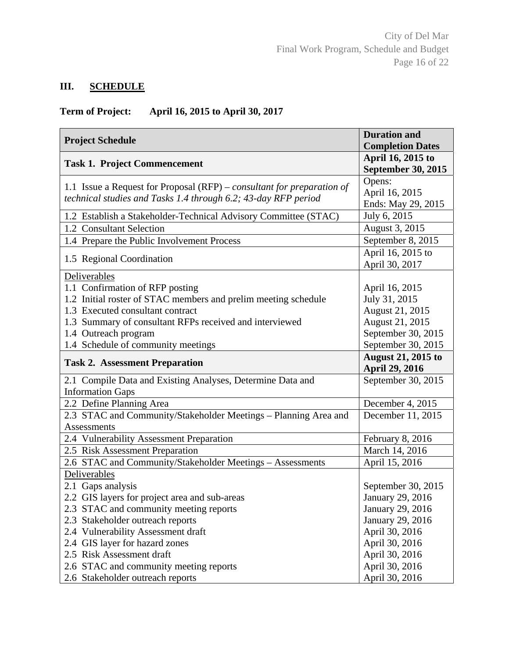# **III. SCHEDULE**

# **Term of Project: April 16, 2015 to April 30, 2017**

| <b>Project Schedule</b>                                                                                                                                                                                                                                                        | <b>Duration and</b><br><b>Completion Dates</b>                                                                    |
|--------------------------------------------------------------------------------------------------------------------------------------------------------------------------------------------------------------------------------------------------------------------------------|-------------------------------------------------------------------------------------------------------------------|
| <b>Task 1. Project Commencement</b>                                                                                                                                                                                                                                            | April 16, 2015 to<br>September 30, 2015                                                                           |
| 1.1 Issue a Request for Proposal $(RFP)$ – consultant for preparation of<br>technical studies and Tasks 1.4 through 6.2; 43-day RFP period                                                                                                                                     | Opens:<br>April 16, 2015<br>Ends: May 29, 2015                                                                    |
| 1.2 Establish a Stakeholder-Technical Advisory Committee (STAC)                                                                                                                                                                                                                | July 6, 2015                                                                                                      |
| 1.2 Consultant Selection                                                                                                                                                                                                                                                       | August 3, 2015                                                                                                    |
| 1.4 Prepare the Public Involvement Process                                                                                                                                                                                                                                     | September 8, 2015                                                                                                 |
| 1.5 Regional Coordination                                                                                                                                                                                                                                                      | April 16, 2015 to<br>April 30, 2017                                                                               |
| Deliverables<br>1.1 Confirmation of RFP posting<br>1.2 Initial roster of STAC members and prelim meeting schedule<br>1.3 Executed consultant contract<br>1.3 Summary of consultant RFPs received and interviewed<br>1.4 Outreach program<br>1.4 Schedule of community meetings | April 16, 2015<br>July 31, 2015<br>August 21, 2015<br>August 21, 2015<br>September 30, 2015<br>September 30, 2015 |
| <b>Task 2. Assessment Preparation</b>                                                                                                                                                                                                                                          | <b>August 21, 2015 to</b><br>April 29, 2016                                                                       |
| 2.1 Compile Data and Existing Analyses, Determine Data and<br><b>Information Gaps</b>                                                                                                                                                                                          | September 30, 2015                                                                                                |
| 2.2 Define Planning Area                                                                                                                                                                                                                                                       | December 4, 2015                                                                                                  |
| 2.3 STAC and Community/Stakeholder Meetings - Planning Area and<br><b>Assessments</b>                                                                                                                                                                                          | December 11, 2015                                                                                                 |
| 2.4 Vulnerability Assessment Preparation                                                                                                                                                                                                                                       | February 8, 2016                                                                                                  |
| 2.5 Risk Assessment Preparation                                                                                                                                                                                                                                                | March 14, 2016                                                                                                    |
| 2.6 STAC and Community/Stakeholder Meetings - Assessments                                                                                                                                                                                                                      | April 15, 2016                                                                                                    |
| Deliverables                                                                                                                                                                                                                                                                   |                                                                                                                   |
| 2.1 Gaps analysis                                                                                                                                                                                                                                                              | September 30, 2015                                                                                                |
| 2.2 GIS layers for project area and sub-areas                                                                                                                                                                                                                                  | January 29, 2016                                                                                                  |
| 2.3 STAC and community meeting reports                                                                                                                                                                                                                                         | January 29, 2016                                                                                                  |
| 2.3 Stakeholder outreach reports                                                                                                                                                                                                                                               | January 29, 2016                                                                                                  |
| 2.4 Vulnerability Assessment draft                                                                                                                                                                                                                                             | April 30, 2016                                                                                                    |
| 2.4 GIS layer for hazard zones                                                                                                                                                                                                                                                 | April 30, 2016                                                                                                    |
| 2.5 Risk Assessment draft                                                                                                                                                                                                                                                      | April 30, 2016                                                                                                    |
| 2.6 STAC and community meeting reports<br>2.6 Stakeholder outreach reports                                                                                                                                                                                                     | April 30, 2016<br>April 30, 2016                                                                                  |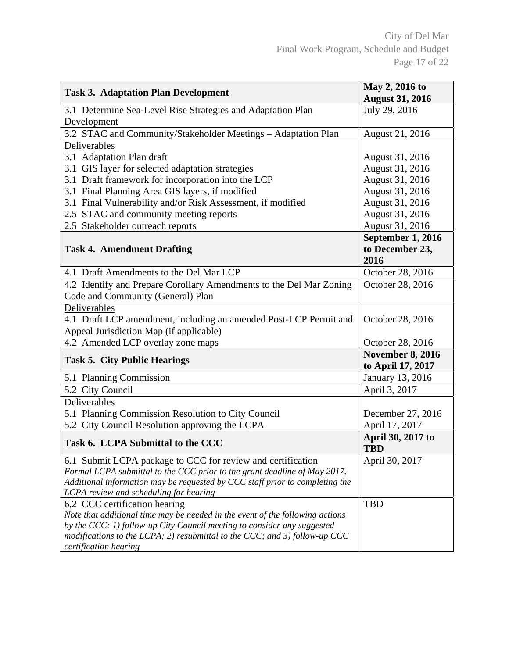| <b>Task 3. Adaptation Plan Development</b>                                                                             | May 2, 2016 to<br><b>August 31, 2016</b>     |
|------------------------------------------------------------------------------------------------------------------------|----------------------------------------------|
| 3.1 Determine Sea-Level Rise Strategies and Adaptation Plan<br>Development                                             | July 29, 2016                                |
| 3.2 STAC and Community/Stakeholder Meetings - Adaptation Plan                                                          | August 21, 2016                              |
| Deliverables                                                                                                           |                                              |
| 3.1 Adaptation Plan draft                                                                                              | August 31, 2016                              |
| 3.1 GIS layer for selected adaptation strategies                                                                       | August 31, 2016                              |
| 3.1 Draft framework for incorporation into the LCP                                                                     | August 31, 2016                              |
| 3.1 Final Planning Area GIS layers, if modified                                                                        | August 31, 2016                              |
| 3.1 Final Vulnerability and/or Risk Assessment, if modified                                                            | August 31, 2016                              |
| 2.5 STAC and community meeting reports                                                                                 | August 31, 2016                              |
| 2.5 Stakeholder outreach reports                                                                                       | August 31, 2016                              |
| <b>Task 4. Amendment Drafting</b>                                                                                      | September 1, 2016<br>to December 23,<br>2016 |
| 4.1 Draft Amendments to the Del Mar LCP                                                                                | October 28, 2016                             |
| 4.2 Identify and Prepare Corollary Amendments to the Del Mar Zoning<br>Code and Community (General) Plan               | October 28, 2016                             |
| Deliverables                                                                                                           |                                              |
| 4.1 Draft LCP amendment, including an amended Post-LCP Permit and<br>Appeal Jurisdiction Map (if applicable)           | October 28, 2016                             |
| 4.2 Amended LCP overlay zone maps                                                                                      | October 28, 2016                             |
| <b>Task 5. City Public Hearings</b>                                                                                    | <b>November 8, 2016</b><br>to April 17, 2017 |
| 5.1 Planning Commission                                                                                                | January 13, 2016                             |
| 5.2 City Council                                                                                                       | April 3, 2017                                |
| Deliverables                                                                                                           |                                              |
| 5.1 Planning Commission Resolution to City Council                                                                     | December 27, 2016                            |
| 5.2 City Council Resolution approving the LCPA                                                                         | April 17, 2017                               |
| Task 6. LCPA Submittal to the CCC                                                                                      | April 30, 2017 to<br><b>TBD</b>              |
| 6.1 Submit LCPA package to CCC for review and certification                                                            | April 30, 2017                               |
| Formal LCPA submittal to the CCC prior to the grant deadline of May 2017.                                              |                                              |
| Additional information may be requested by CCC staff prior to completing the<br>LCPA review and scheduling for hearing |                                              |
| 6.2 CCC certification hearing                                                                                          | <b>TBD</b>                                   |
| Note that additional time may be needed in the event of the following actions                                          |                                              |
| by the CCC: 1) follow-up City Council meeting to consider any suggested                                                |                                              |
| modifications to the LCPA; 2) resubmittal to the CCC; and 3) follow-up CCC                                             |                                              |
| certification hearing                                                                                                  |                                              |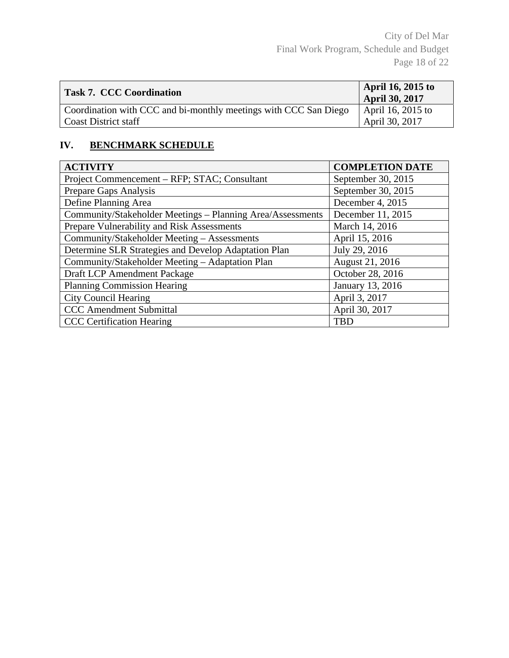| <b>Task 7. CCC Coordination</b>                                  | April 16, 2015 to<br>April 30, 2017 |
|------------------------------------------------------------------|-------------------------------------|
| Coordination with CCC and bi-monthly meetings with CCC San Diego | April 16, 2015 to                   |
| <b>Coast District staff</b>                                      | April 30, 2017                      |

# **IV. BENCHMARK SCHEDULE**

| <b>ACTIVITY</b>                                            | <b>COMPLETION DATE</b> |
|------------------------------------------------------------|------------------------|
| Project Commencement – RFP; STAC; Consultant               | September 30, 2015     |
| Prepare Gaps Analysis                                      | September 30, 2015     |
| Define Planning Area                                       | December 4, 2015       |
| Community/Stakeholder Meetings - Planning Area/Assessments | December 11, 2015      |
| Prepare Vulnerability and Risk Assessments                 | March 14, 2016         |
| Community/Stakeholder Meeting - Assessments                | April 15, 2016         |
| Determine SLR Strategies and Develop Adaptation Plan       | July 29, 2016          |
| Community/Stakeholder Meeting - Adaptation Plan            | August 21, 2016        |
| Draft LCP Amendment Package                                | October 28, 2016       |
| <b>Planning Commission Hearing</b>                         | January 13, 2016       |
| <b>City Council Hearing</b>                                | April 3, 2017          |
| <b>CCC</b> Amendment Submittal                             | April 30, 2017         |
| <b>CCC</b> Certification Hearing                           | <b>TBD</b>             |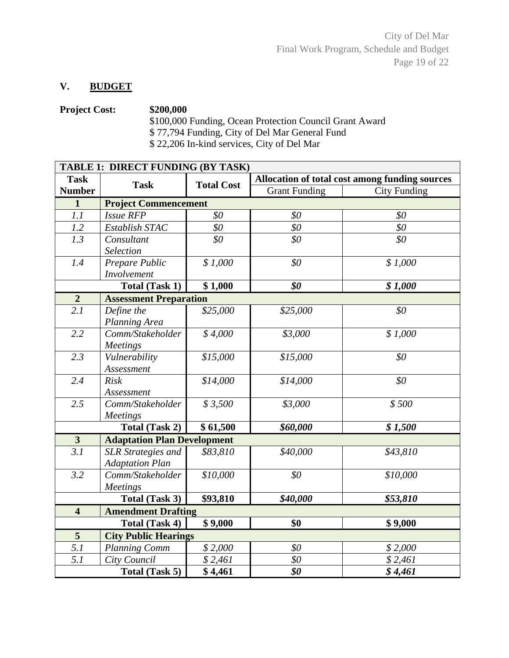### **V. BUDGET**

# **Project Cost: \$200,000**  \$100,000 Funding, Ocean Protection Council Grant Award \$ 77,794 Funding, City of Del Mar General Fund

\$ 22,206 In-kind services, City of Del Mar

| TABLE 1: DIRECT FUNDING (BY TASK)                           |                                    |                      |                                                |                     |  |
|-------------------------------------------------------------|------------------------------------|----------------------|------------------------------------------------|---------------------|--|
| <b>Task</b>                                                 | <b>Task</b>                        | <b>Total Cost</b>    | Allocation of total cost among funding sources |                     |  |
| <b>Number</b>                                               |                                    |                      | <b>Grant Funding</b>                           | <b>City Funding</b> |  |
| $\mathbf{1}$                                                | <b>Project Commencement</b>        |                      |                                                |                     |  |
| 1.1                                                         | <b>Issue RFP</b>                   | \$0\$                | \$0                                            | \$0                 |  |
| 1.2                                                         | Establish STAC                     | \$0                  | \$0                                            | \$0\$               |  |
| 1.3                                                         | Consultant                         | \$0                  | \$0                                            | \$0                 |  |
|                                                             | Selection                          |                      |                                                |                     |  |
| 1.4                                                         | Prepare Public                     | \$1,000              | \$0                                            | \$1,000             |  |
|                                                             | Involvement                        |                      |                                                |                     |  |
|                                                             | <b>Total (Task 1)</b>              | \$1,000              | \$0                                            | \$1,000             |  |
| $\overline{2}$                                              | <b>Assessment Preparation</b>      |                      |                                                |                     |  |
| $\overline{2.1}$                                            | Define the                         | $\overline{$}25,000$ | \$25,000                                       | \$0\$               |  |
|                                                             | Planning Area                      |                      |                                                |                     |  |
| 2.2                                                         | Comm/Stakeholder                   | \$4,000              | \$3,000                                        | \$1,000             |  |
|                                                             | <b>Meetings</b>                    |                      |                                                |                     |  |
| 2.3                                                         | Vulnerability                      | \$15,000             | \$15,000                                       | \$0                 |  |
|                                                             | Assessment                         |                      |                                                |                     |  |
| 2.4                                                         | <b>Risk</b>                        | \$14,000             | \$14,000                                       | \$0\$               |  |
|                                                             | Assessment                         |                      |                                                |                     |  |
| 2.5                                                         | Comm/Stakeholder                   | \$3,500              | \$3,000                                        | \$500               |  |
|                                                             | <b>Meetings</b>                    |                      |                                                |                     |  |
|                                                             | Total (Task 2)                     | $\sqrt{$}61,500$     | \$60,000                                       | \$1,500             |  |
| $\overline{\mathbf{3}}$                                     | <b>Adaptation Plan Development</b> |                      |                                                |                     |  |
| $\overline{3.1}$                                            | <b>SLR</b> Strategies and          | \$83,810             | \$40,000                                       | \$43,810            |  |
|                                                             | <b>Adaptation Plan</b>             |                      |                                                |                     |  |
| 3.2                                                         | Comm/Stakeholder                   | \$10,000             | \$0                                            | \$10,000            |  |
|                                                             | <b>Meetings</b>                    |                      |                                                |                     |  |
| \$93,810<br>\$40,000<br>\$53,810<br><b>Total (Task 3)</b>   |                                    |                      |                                                |                     |  |
| $\overline{\mathbf{4}}$                                     | <b>Amendment Drafting</b>          |                      |                                                |                     |  |
|                                                             | <b>Total (Task 4)</b>              | \$9,000              | \$0                                            | \$9,000             |  |
| $5\overline{)}$                                             | <b>City Public Hearings</b>        |                      |                                                |                     |  |
| 5.1                                                         | <b>Planning Comm</b>               | \$2,000              | \$0                                            | \$2,000             |  |
| 5.1                                                         | City Council                       | \$2,461              | \$0                                            | \$2,461             |  |
| $\bar{\$}$ 4,461<br>\$0<br><b>Total (Task 5)</b><br>\$4,461 |                                    |                      |                                                |                     |  |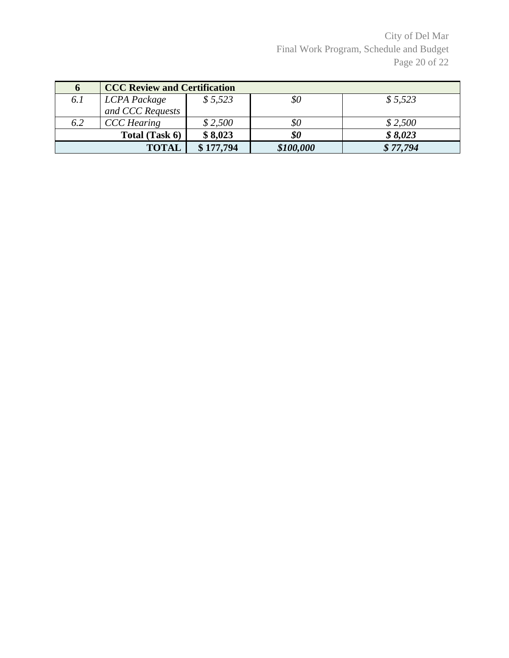City of Del Mar Final Work Program, Schedule and Budget Page 20 of 22

| $\mathbf 0$ | <b>CCC Review and Certification</b> |           |           |          |
|-------------|-------------------------------------|-----------|-----------|----------|
| 6.1         | LCPA Package                        | \$5,523   | \$0       | \$5,523  |
|             | and CCC Requests                    |           |           |          |
| 6.2         | <b>CCC</b> Hearing                  | \$2,500   | \$0       | \$2,500  |
|             | Total (Task 6)                      | \$8,023   | \$0       | \$8,023  |
|             | <b>TOTAL</b>                        | \$177,794 | \$100,000 | \$77,794 |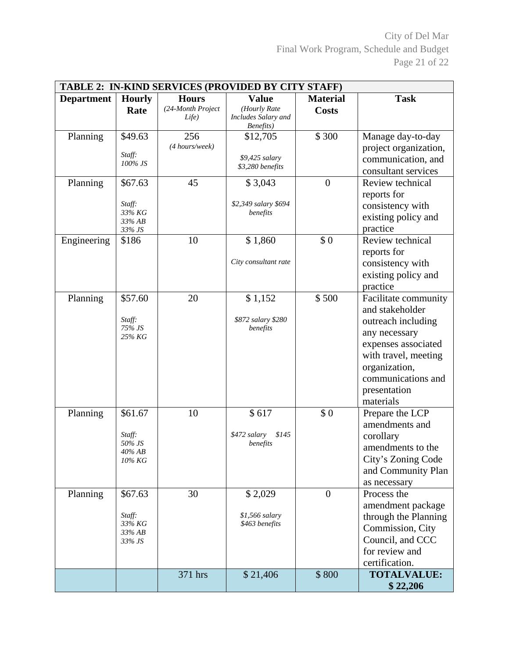City of Del Mar Final Work Program, Schedule and Budget Page 21 of 22

| TABLE 2: IN-KIND SERVICES (PROVIDED BY CITY STAFF) |                                                       |                                            |                                                             |                                 |                                                                                                                                                                                                   |
|----------------------------------------------------|-------------------------------------------------------|--------------------------------------------|-------------------------------------------------------------|---------------------------------|---------------------------------------------------------------------------------------------------------------------------------------------------------------------------------------------------|
| <b>Department</b>                                  | <b>Hourly</b><br>Rate                                 | <b>Hours</b><br>(24-Month Project<br>Life) | <b>Value</b><br>(Hourly Rate<br>Includes Salary and         | <b>Material</b><br><b>Costs</b> | <b>Task</b>                                                                                                                                                                                       |
| Planning                                           | \$49.63<br>Staff:<br>100% JS                          | 256<br>(4 hours/week)                      | Benefits)<br>\$12,705<br>\$9,425 salary<br>\$3,280 benefits | \$300                           | Manage day-to-day<br>project organization,<br>communication, and<br>consultant services                                                                                                           |
| Planning                                           | \$67.63<br>Staff:<br>33% KG<br>33% AB<br>33% JS       | 45                                         | \$3,043<br>\$2,349 salary \$694<br>benefits                 | $\overline{0}$                  | Review technical<br>reports for<br>consistency with<br>existing policy and<br>practice                                                                                                            |
| Engineering                                        | \$186                                                 | 10                                         | \$1,860<br>City consultant rate                             | \$0                             | Review technical<br>reports for<br>consistency with<br>existing policy and<br>practice                                                                                                            |
| Planning                                           | \$57.60<br>Staff:<br>75% JS<br>25% KG                 | 20                                         | \$1,152<br>\$872 salary \$280<br>benefits                   | \$500                           | Facilitate community<br>and stakeholder<br>outreach including<br>any necessary<br>expenses associated<br>with travel, meeting<br>organization,<br>communications and<br>presentation<br>materials |
| Planning                                           | \$61.67<br>Staff:<br>50% JS<br>$40\%$ AB<br>10% KG    | 10                                         | \$617<br>\$145<br>\$472 salary<br>benefits                  | \$0                             | Prepare the LCP<br>amendments and<br>corollary<br>amendments to the<br>City's Zoning Code<br>and Community Plan<br>as necessary                                                                   |
| Planning                                           | \$67.63<br>Staff:<br>33% KG<br>$33\%$ AB<br>$33\%$ JS | 30                                         | \$2,029<br>\$1,566 salary<br>\$463 benefits                 | $\overline{0}$                  | Process the<br>amendment package<br>through the Planning<br>Commission, City<br>Council, and CCC<br>for review and<br>certification.                                                              |
|                                                    |                                                       | 371 hrs                                    | \$21,406                                                    | \$800                           | <b>TOTALVALUE:</b><br>\$22,206                                                                                                                                                                    |